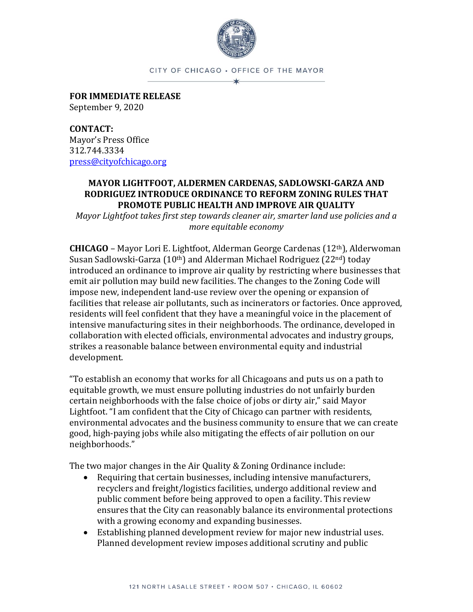

CITY OF CHICAGO . OFFICE OF THE MAYOR

**FOR IMMEDIATE RELEASE** September 9, 2020

**CONTACT:** Mayor's Press Office 312.744.3334 [press@cityofchicago.org](mailto:press@cityofchicago.org)

## **MAYOR LIGHTFOOT, ALDERMEN CARDENAS, SADLOWSKI-GARZA AND RODRIGUEZ INTRODUCE ORDINANCE TO REFORM ZONING RULES THAT PROMOTE PUBLIC HEALTH AND IMPROVE AIR QUALITY**

*Mayor Lightfoot takes first step towards cleaner air, smarter land use policies and a more equitable economy*

**CHICAGO** – Mayor Lori E. Lightfoot, Alderman George Cardenas (12th), Alderwoman Susan Sadlowski-Garza (10th) and Alderman Michael Rodriguez (22nd) today introduced an ordinance to improve air quality by restricting where businesses that emit air pollution may build new facilities. The changes to the Zoning Code will impose new, independent land-use review over the opening or expansion of facilities that release air pollutants, such as incinerators or factories. Once approved, residents will feel confident that they have a meaningful voice in the placement of intensive manufacturing sites in their neighborhoods. The ordinance, developed in collaboration with elected officials, environmental advocates and industry groups, strikes a reasonable balance between environmental equity and industrial development.

"To establish an economy that works for all Chicagoans and puts us on a path to equitable growth, we must ensure polluting industries do not unfairly burden certain neighborhoods with the false choice of jobs or dirty air," said Mayor Lightfoot. "I am confident that the City of Chicago can partner with residents, environmental advocates and the business community to ensure that we can create good, high-paying jobs while also mitigating the effects of air pollution on our neighborhoods."

The two major changes in the Air Quality & Zoning Ordinance include:

- Requiring that certain businesses, including intensive manufacturers, recyclers and freight/logistics facilities, undergo additional review and public comment before being approved to open a facility. This review ensures that the City can reasonably balance its environmental protections with a growing economy and expanding businesses.
- Establishing planned development review for major new industrial uses. Planned development review imposes additional scrutiny and public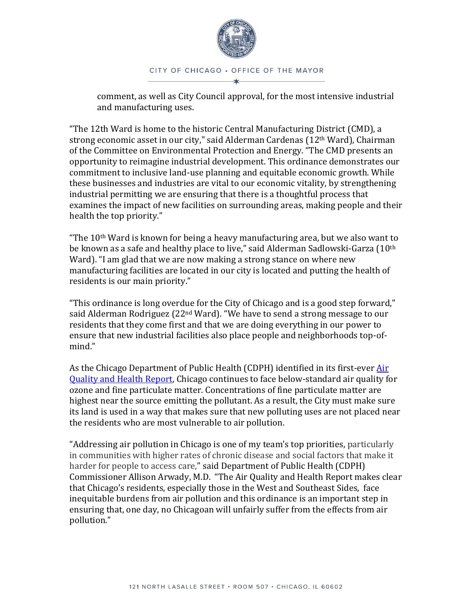

comment, as well as City Council approval, for the most intensive industrial and manufacturing uses.

"The 12th Ward is home to the historic Central Manufacturing District (CMD), a strong economic asset in our city," said Alderman Cardenas (12<sup>th</sup> Ward), Chairman of the Committee on Environmental Protection and Energy. "The CMD presents an opportunity to reimagine industrial development. This ordinance demonstrates our commitment to inclusive land-use planning and equitable economic growth. While these businesses and industries are vital to our economic vitality, by strengthening industrial permitting we are ensuring that there is a thoughtful process that examines the impact of new facilities on surrounding areas, making people and their health the top priority."

"The 10<sup>th</sup> Ward is known for being a heavy manufacturing area, but we also want to be known as a safe and healthy place to live," said Alderman Sadlowski-Garza (10<sup>th</sup> Ward). "I am glad that we are now making a strong stance on where new manufacturing facilities are located in our city is located and putting the health of residents is our main priority."

"This ordinance is long overdue for the City of Chicago and is a good step forward," said Alderman Rodriguez (22<sup>nd</sup> Ward). "We have to send a strong message to our residents that they come first and that we are doing everything in our power to ensure that new industrial facilities also place people and neighborhoods top-ofmind."

As the Chicago Department of Public Health (CDPH) identified in its first-ever Air [Quality and Health Report,](https://www.chicago.gov/content/dam/city/depts/cdph/statistics_and_reports/Air_Quality_Health_doc_FINALv4.pdf) Chicago continues to face below-standard air quality for ozone and fine particulate matter. Concentrations of fine particulate matter are highest near the source emitting the pollutant. As a result, the City must make sure its land is used in a way that makes sure that new polluting uses are not placed near the residents who are most vulnerable to air pollution.

"Addressing air pollution in Chicago is one of my team's top priorities, particularly in communities with higher rates of chronic disease and social factors that make it harder for people to access care," said Department of Public Health (CDPH) Commissioner Allison Arwady, M.D. "The Air Quality and Health Report makes clear that Chicago's residents, especially those in the West and Southeast Sides, face inequitable burdens from air pollution and this ordinance is an important step in ensuring that, one day, no Chicagoan will unfairly suffer from the effects from air pollution."